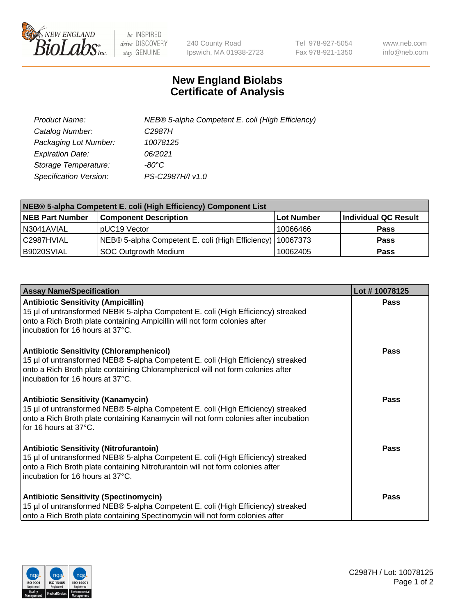

 $be$  INSPIRED drive DISCOVERY stay GENUINE

240 County Road Ipswich, MA 01938-2723 Tel 978-927-5054 Fax 978-921-1350 www.neb.com info@neb.com

## **New England Biolabs Certificate of Analysis**

| Product Name:           | NEB® 5-alpha Competent E. coli (High Efficiency) |
|-------------------------|--------------------------------------------------|
| Catalog Number:         | C <sub>2987</sub> H                              |
| Packaging Lot Number:   | 10078125                                         |
| <b>Expiration Date:</b> | 06/2021                                          |
| Storage Temperature:    | -80°C                                            |
| Specification Version:  | PS-C2987H/I v1.0                                 |

| NEB® 5-alpha Competent E. coli (High Efficiency) Component List |                                                             |                   |                      |  |
|-----------------------------------------------------------------|-------------------------------------------------------------|-------------------|----------------------|--|
| <b>NEB Part Number</b>                                          | <b>Component Description</b>                                | <b>Lot Number</b> | Individual QC Result |  |
| N3041AVIAL                                                      | pUC19 Vector                                                | 10066466          | <b>Pass</b>          |  |
| C2987HVIAL                                                      | NEB® 5-alpha Competent E. coli (High Efficiency)   10067373 |                   | <b>Pass</b>          |  |
| B9020SVIAL                                                      | <b>SOC Outgrowth Medium</b>                                 | 10062405          | <b>Pass</b>          |  |

| <b>Assay Name/Specification</b>                                                                                                                                                                                                                            | Lot #10078125 |
|------------------------------------------------------------------------------------------------------------------------------------------------------------------------------------------------------------------------------------------------------------|---------------|
| <b>Antibiotic Sensitivity (Ampicillin)</b><br>15 µl of untransformed NEB® 5-alpha Competent E. coli (High Efficiency) streaked<br>onto a Rich Broth plate containing Ampicillin will not form colonies after<br>incubation for 16 hours at 37°C.           | Pass          |
| <b>Antibiotic Sensitivity (Chloramphenicol)</b><br>15 µl of untransformed NEB® 5-alpha Competent E. coli (High Efficiency) streaked<br>onto a Rich Broth plate containing Chloramphenicol will not form colonies after<br>incubation for 16 hours at 37°C. | Pass          |
| Antibiotic Sensitivity (Kanamycin)<br>15 µl of untransformed NEB® 5-alpha Competent E. coli (High Efficiency) streaked<br>onto a Rich Broth plate containing Kanamycin will not form colonies after incubation<br>for 16 hours at 37°C.                    | Pass          |
| <b>Antibiotic Sensitivity (Nitrofurantoin)</b><br>15 µl of untransformed NEB® 5-alpha Competent E. coli (High Efficiency) streaked<br>onto a Rich Broth plate containing Nitrofurantoin will not form colonies after<br>incubation for 16 hours at 37°C.   | <b>Pass</b>   |
| <b>Antibiotic Sensitivity (Spectinomycin)</b><br>15 µl of untransformed NEB® 5-alpha Competent E. coli (High Efficiency) streaked<br>onto a Rich Broth plate containing Spectinomycin will not form colonies after                                         | Pass          |